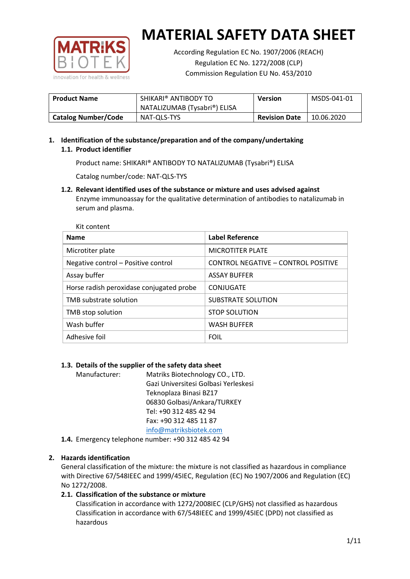

According Regulation EC No. 1907/2006 (REACH) Regulation EC No. 1272/2008 (CLP) Commission Regulation EU No. 453/2010

| <b>Product Name</b>        | SHIKARI® ANTIBODY TO         | <b>Version</b>       | MSDS-041-01 |
|----------------------------|------------------------------|----------------------|-------------|
|                            | NATALIZUMAB (Tysabri®) ELISA |                      |             |
| <b>Catalog Number/Code</b> | NAT-QLS-TYS                  | <b>Revision Date</b> | 10.06.2020  |

# **1. Identification of the substance/preparation and of the company/undertaking 1.1. Product identifier**

Product name: SHIKARI® ANTIBODY TO NATALIZUMAB (Tysabri®) ELISA

Catalog number/code: NAT-QLS-TYS

# **1.2. Relevant identified uses of the substance or mixture and uses advised against**

Enzyme immunoassay for the qualitative determination of antibodies to natalizumab in serum and plasma.

| Kit content                              |                                     |
|------------------------------------------|-------------------------------------|
| <b>Name</b>                              | <b>Label Reference</b>              |
| Microtiter plate                         | <b>MICROTITER PLATE</b>             |
| Negative control - Positive control      | CONTROL NEGATIVE - CONTROL POSITIVE |
| Assay buffer                             | <b>ASSAY BUFFER</b>                 |
| Horse radish peroxidase conjugated probe | CONJUGATE                           |
| TMB substrate solution                   | <b>SUBSTRATE SOLUTION</b>           |
| TMB stop solution                        | <b>STOP SOLUTION</b>                |
| Wash buffer                              | <b>WASH BUFFER</b>                  |
| Adhesive foil                            | <b>FOIL</b>                         |

# **1.3. Details of the supplier of the safety data sheet**

Manufacturer: Matriks Biotechnology CO., LTD. Gazi Universitesi Golbasi Yerleskesi Teknoplaza Binasi BZ17 06830 Golbasi/Ankara/TURKEY Tel: +90 312 485 42 94 Fax: +90 312 485 11 87 [info@matriksbiotek.com](mailto:info@matriksbiotek.com)

**1.4.** Emergency telephone number: +90 312 485 42 94

# **2. Hazards identification**

General classification of the mixture: the mixture is not classified as hazardous in compliance with Directive 67/548IEEC and 1999/45IEC, Regulation (EC) No 1907/2006 and Regulation (EC) No 1272/2008.

# **2.1. Classification of the substance or mixture**

Classification in accordance with 1272/2008IEC (CLP/GHS) not classified as hazardous Classification in accordance with 67/548IEEC and 1999/45IEC (DPD) not classified as hazardous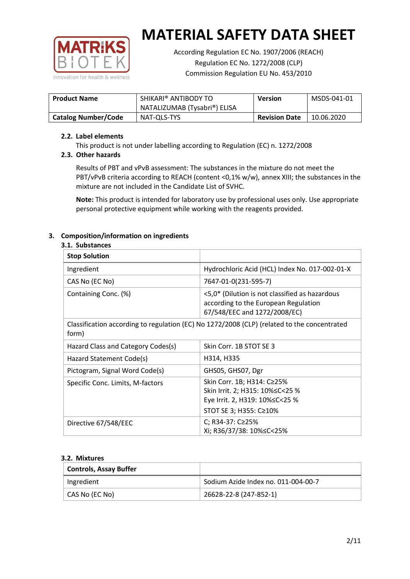

According Regulation EC No. 1907/2006 (REACH) Regulation EC No. 1272/2008 (CLP) Commission Regulation EU No. 453/2010

| <b>Product Name</b>        | SHIKARI® ANTIBODY TO         | <b>Version</b>       | MSDS-041-01 |
|----------------------------|------------------------------|----------------------|-------------|
|                            | NATALIZUMAB (Tysabri®) ELISA |                      |             |
| <b>Catalog Number/Code</b> | NAT-QLS-TYS                  | <b>Revision Date</b> | 10.06.2020  |

### **2.2. Label elements**

This product is not under labelling according to Regulation (EC) n. 1272/2008

# **2.3. Other hazards**

Results of PBT and vPvB assessment: The substances in the mixture do not meet the PBT/vPvB criteria according to REACH (content <0,1% w/w), annex XIII; the substances in the mixture are not included in the Candidate List of SVHC.

**Note:** This product is intended for laboratory use by professional uses only. Use appropriate personal protective equipment while working with the reagents provided.

# **3. Composition/information on ingredients**

#### **3.1. Substances**

| <b>Stop Solution</b>                                                                                 |                                                                                                                               |
|------------------------------------------------------------------------------------------------------|-------------------------------------------------------------------------------------------------------------------------------|
| Ingredient                                                                                           | Hydrochloric Acid (HCL) Index No. 017-002-01-X                                                                                |
| CAS No (EC No)                                                                                       | 7647-01-0(231-595-7)                                                                                                          |
| Containing Conc. (%)                                                                                 | <5,0* (Dilution is not classified as hazardous<br>according to the European Regulation<br>67/548/EEC and 1272/2008/EC)        |
| Classification according to regulation (EC) No 1272/2008 (CLP) (related to the concentrated<br>form) |                                                                                                                               |
| Hazard Class and Category Codes(s)                                                                   | Skin Corr. 1B STOT SE 3                                                                                                       |
| Hazard Statement Code(s)                                                                             | H314, H335                                                                                                                    |
| Pictogram, Signal Word Code(s)                                                                       | GHS05, GHS07, Dgr                                                                                                             |
| Specific Conc. Limits, M-factors                                                                     | Skin Corr. 1B; H314: C≥25%<br>Skin Irrit. 2; H315: 10% ≤ C < 25 %<br>Eye Irrit. 2, H319: 10%≤C<25 %<br>STOT SE 3; H355: C≥10% |
| Directive 67/548/EEC                                                                                 | C; R34-37: C≥25%<br>Xi; R36/37/38: 10% <<<<<<<                                                                                |

#### **3.2. Mixtures**

| <b>Controls, Assay Buffer</b> |                                     |
|-------------------------------|-------------------------------------|
| Ingredient                    | Sodium Azide Index no. 011-004-00-7 |
| CAS No (EC No)                | 26628-22-8 (247-852-1)              |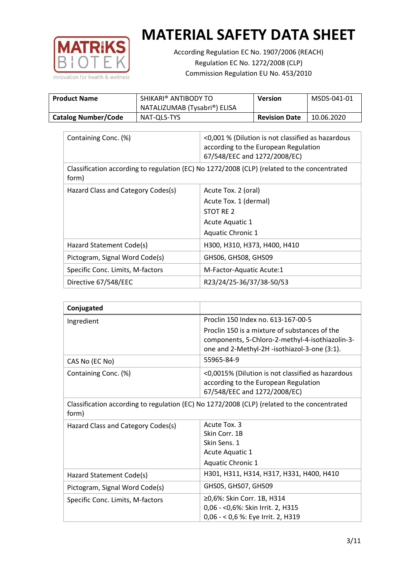

According Regulation EC No. 1907/2006 (REACH) Regulation EC No. 1272/2008 (CLP) Commission Regulation EU No. 453/2010

| <b>Product Name</b>        | SHIKARI® ANTIBODY TO         | <b>Version</b>       | MSDS-041-01 |
|----------------------------|------------------------------|----------------------|-------------|
|                            | NATALIZUMAB (Tysabri®) ELISA |                      |             |
| <b>Catalog Number/Code</b> | NAT-QLS-TYS                  | <b>Revision Date</b> | 10.06.2020  |

| Containing Conc. (%)               | <0,001 % (Dilution is not classified as hazardous<br>according to the European Regulation<br>67/548/EEC and 1272/2008/EC) |
|------------------------------------|---------------------------------------------------------------------------------------------------------------------------|
| form)                              | Classification according to regulation (EC) No 1272/2008 (CLP) (related to the concentrated                               |
| Hazard Class and Category Codes(s) | Acute Tox. 2 (oral)                                                                                                       |
|                                    | Acute Tox. 1 (dermal)                                                                                                     |
|                                    | STOT RE 2                                                                                                                 |
|                                    | Acute Aquatic 1                                                                                                           |
|                                    | <b>Aquatic Chronic 1</b>                                                                                                  |
| Hazard Statement Code(s)           | H300, H310, H373, H400, H410                                                                                              |
| Pictogram, Signal Word Code(s)     | GHS06, GHS08, GHS09                                                                                                       |
| Specific Conc. Limits, M-factors   | M-Factor-Aquatic Acute:1                                                                                                  |
| Directive 67/548/EEC               | R23/24/25-36/37/38-50/53                                                                                                  |

| Conjugated                         |                                                                                                                                                  |
|------------------------------------|--------------------------------------------------------------------------------------------------------------------------------------------------|
| Ingredient                         | Proclin 150 Index no. 613-167-00-5                                                                                                               |
|                                    | Proclin 150 is a mixture of substances of the<br>components, 5-Chloro-2-methyl-4-isothiazolin-3-<br>one and 2-Methyl-2H -isothiazol-3-one (3:1). |
| CAS No (EC No)                     | 55965-84-9                                                                                                                                       |
| Containing Conc. (%)               | <0,0015% (Dilution is not classified as hazardous<br>according to the European Regulation<br>67/548/EEC and 1272/2008/EC)                        |
| form)                              | Classification according to regulation (EC) No 1272/2008 (CLP) (related to the concentrated                                                      |
| Hazard Class and Category Codes(s) | Acute Tox. 3                                                                                                                                     |
|                                    | Skin Corr. 1B                                                                                                                                    |
|                                    | Skin Sens. 1                                                                                                                                     |
|                                    | Acute Aquatic 1                                                                                                                                  |
|                                    | <b>Aquatic Chronic 1</b>                                                                                                                         |
| Hazard Statement Code(s)           | H301, H311, H314, H317, H331, H400, H410                                                                                                         |
| Pictogram, Signal Word Code(s)     | GHS05, GHS07, GHS09                                                                                                                              |
| Specific Conc. Limits, M-factors   | ≥0,6%: Skin Corr. 1B, H314<br>0,06 - < 0,6%: Skin Irrit. 2, H315<br>0,06 - < 0,6 %: Eye Irrit. 2, H319                                           |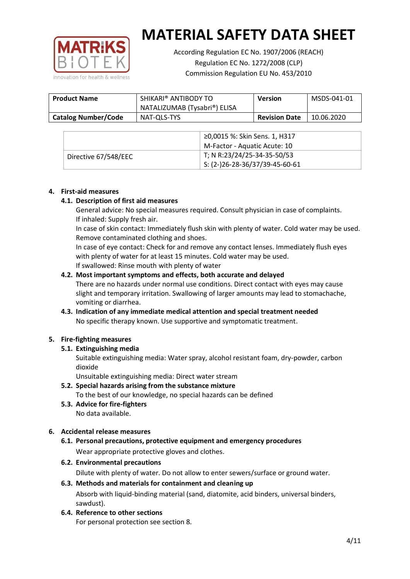

According Regulation EC No. 1907/2006 (REACH) Regulation EC No. 1272/2008 (CLP) Commission Regulation EU No. 453/2010

| <b>Product Name</b>        | SHIKARI® ANTIBODY TO<br>NATALIZUMAB (Tysabri®) ELISA | <b>Version</b>       | MSDS-041-01 |
|----------------------------|------------------------------------------------------|----------------------|-------------|
| <b>Catalog Number/Code</b> | NAT-QLS-TYS                                          | <b>Revision Date</b> | 10.06.2020  |

|                      | ≥0,0015 %: Skin Sens. 1, H317                |
|----------------------|----------------------------------------------|
|                      | M-Factor - Aquatic Acute: 10                 |
| Directive 67/548/EEC | T; N R:23/24/25-34-35-50/53                  |
|                      | $\frac{1}{1}$ S: (2-)26-28-36/37/39-45-60-61 |

#### **4. First-aid measures**

#### **4.1. Description of first aid measures**

General advice: No special measures required. Consult physician in case of complaints. If inhaled: Supply fresh air.

In case of skin contact: Immediately flush skin with plenty of water. Cold water may be used. Remove contaminated clothing and shoes.

In case of eye contact: Check for and remove any contact lenses. Immediately flush eyes with plenty of water for at least 15 minutes. Cold water may be used. If swallowed: Rinse mouth with plenty of water

#### **4.2. Most important symptoms and effects, both accurate and delayed**

There are no hazards under normal use conditions. Direct contact with eyes may cause slight and temporary irritation. Swallowing of larger amounts may lead to stomachache, vomiting or diarrhea.

# **4.3. Indication of any immediate medical attention and special treatment needed** No specific therapy known. Use supportive and symptomatic treatment.

# **5. Fire-fighting measures**

# **5.1. Extinguishing media**

Suitable extinguishing media: Water spray, alcohol resistant foam, dry-powder, carbon dioxide

Unsuitable extinguishing media: Direct water stream

- **5.2. Special hazards arising from the substance mixture** To the best of our knowledge, no special hazards can be defined
- **5.3. Advice for fire-fighters** No data available.

# **6. Accidental release measures**

- **6.1. Personal precautions, protective equipment and emergency procedures** Wear appropriate protective gloves and clothes.
- **6.2. Environmental precautions**

Dilute with plenty of water. Do not allow to enter sewers/surface or ground water.

#### **6.3. Methods and materials for containment and cleaning up** Absorb with liquid-binding material (sand, diatomite, acid binders, universal binders, sawdust).

**6.4. Reference to other sections**

For personal protection see section 8.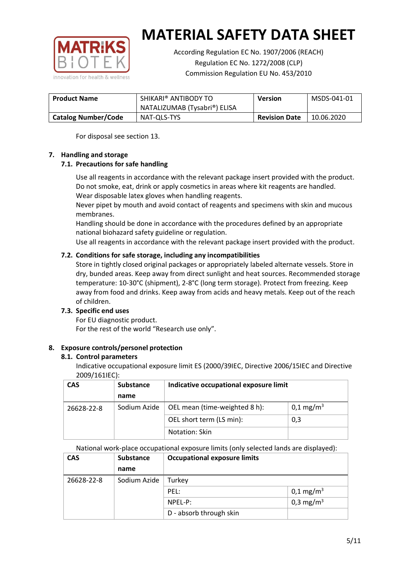

According Regulation EC No. 1907/2006 (REACH) Regulation EC No. 1272/2008 (CLP) Commission Regulation EU No. 453/2010

| <b>Product Name</b>        | SHIKARI <sup>®</sup> ANTIBODY TO |                      | MSDS-041-01 |
|----------------------------|----------------------------------|----------------------|-------------|
|                            | NATALIZUMAB (Tysabri®) ELISA     |                      |             |
| <b>Catalog Number/Code</b> | NAT-QLS-TYS                      | <b>Revision Date</b> | 10.06.2020  |

For disposal see section 13.

# **7. Handling and storage**

# **7.1. Precautions for safe handling**

Use all reagents in accordance with the relevant package insert provided with the product. Do not smoke, eat, drink or apply cosmetics in areas where kit reagents are handled. Wear disposable latex gloves when handling reagents.

Never pipet by mouth and avoid contact of reagents and specimens with skin and mucous membranes.

Handling should be done in accordance with the procedures defined by an appropriate national biohazard safety guideline or regulation.

Use all reagents in accordance with the relevant package insert provided with the product.

# **7.2. Conditions for safe storage, including any incompatibilities**

Store in tightly closed original packages or appropriately labeled alternate vessels. Store in dry, bunded areas. Keep away from direct sunlight and heat sources. Recommended storage temperature: 10-30°C (shipment), 2-8°C (long term storage). Protect from freezing. Keep away from food and drinks. Keep away from acids and heavy metals. Keep out of the reach of children.

# **7.3. Specific end uses**

For EU diagnostic product. For the rest of the world "Research use only".

# **8. Exposure controls/personel protection**

#### **8.1. Control parameters**

Indicative occupational exposure limit ES (2000/39IEC, Directive 2006/15IEC and Directive 2009/161IEC):

| <b>CAS</b> | <b>Substance</b>         | Indicative occupational exposure limit |                       |
|------------|--------------------------|----------------------------------------|-----------------------|
|            | name                     |                                        |                       |
| 26628-22-8 | Sodium Azide             | OEL mean (time-weighted 8 h):          | 0,1 mg/m <sup>3</sup> |
|            | OEL short term (LS min): | 0,3                                    |                       |
|            | Notation: Skin           |                                        |                       |

National work-place occupational exposure limits (only selected lands are displayed):

| <b>CAS</b> | Substance    | <b>Occupational exposure limits</b> |                         |
|------------|--------------|-------------------------------------|-------------------------|
|            | name         |                                     |                         |
| 26628-22-8 | Sodium Azide | Turkey                              |                         |
|            |              | PEL:                                | $0,1 \,\mathrm{mg/m^3}$ |
|            |              | NPEL-P:                             | 0,3 mg/m <sup>3</sup>   |
|            |              | D - absorb through skin             |                         |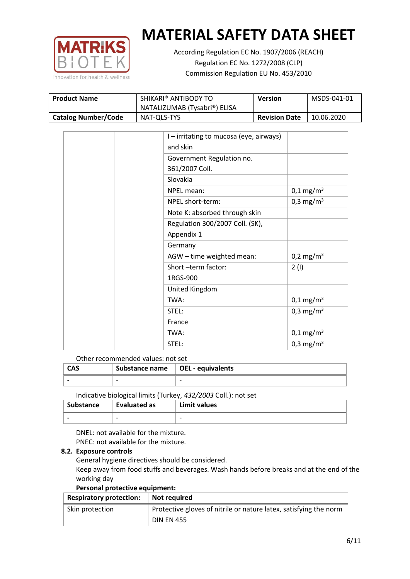

According Regulation EC No. 1907/2006 (REACH) Regulation EC No. 1272/2008 (CLP) Commission Regulation EU No. 453/2010

| SHIKARI® ANTIBODY TO<br><b>Product Name</b> |                              | Version              | MSDS-041-01 |
|---------------------------------------------|------------------------------|----------------------|-------------|
|                                             | NATALIZUMAB (Tysabri®) ELISA |                      |             |
| <b>Catalog Number/Code</b>                  | NAT-QLS-TYS                  | <b>Revision Date</b> | 10.06.2020  |

| I-irritating to mucosa (eye, airways)<br>and skin |                         |
|---------------------------------------------------|-------------------------|
| Government Regulation no.                         |                         |
| 361/2007 Coll.                                    |                         |
| Slovakia                                          |                         |
| NPEL mean:                                        | $0,1 \,\mathrm{mg/m^3}$ |
| NPEL short-term:                                  | 0,3 mg/m <sup>3</sup>   |
| Note K: absorbed through skin                     |                         |
| Regulation 300/2007 Coll. (SK),                   |                         |
| Appendix 1                                        |                         |
| Germany                                           |                         |
| AGW - time weighted mean:                         | 0,2 mg/m <sup>3</sup>   |
| Short-term factor:                                | 2(1)                    |
| 1RGS-900                                          |                         |
| United Kingdom                                    |                         |
| TWA:                                              | $0,1 \,\mathrm{mg/m^3}$ |
| STEL:                                             | 0,3 mg/m <sup>3</sup>   |
| France                                            |                         |
| TWA:                                              | $0,1 \,\mathrm{mg/m^3}$ |
| STEL:                                             | 0,3 mg/m <sup>3</sup>   |

Other recommended values: not set

| <b>CAS</b> | Substance name $\vert$ OEL - equivalents |                          |
|------------|------------------------------------------|--------------------------|
|            | $\overline{\phantom{0}}$                 | $\overline{\phantom{0}}$ |
|            |                                          |                          |

Indicative biological limits (Turkey, *432/2003* Coll.): not set

| Substance                | <b>Evaluated as</b>      | Limit values |
|--------------------------|--------------------------|--------------|
| $\overline{\phantom{0}}$ | $\overline{\phantom{0}}$ | -            |

DNEL: not available for the mixture. PNEC: not available for the mixture.

# **8.2. Exposure controls**

General hygiene directives should be considered.

Keep away from food stuffs and beverages. Wash hands before breaks and at the end of the working day

# **Personal protective equipment:**

| <b>Respiratory protection:</b> | Not required                                                      |
|--------------------------------|-------------------------------------------------------------------|
| Skin protection                | Protective gloves of nitrile or nature latex, satisfying the norm |
|                                | <b>DIN EN 455</b>                                                 |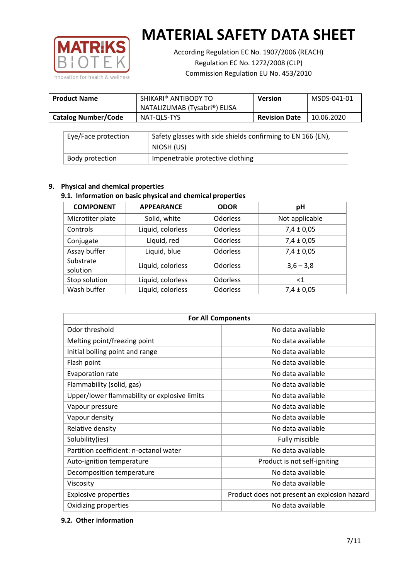

According Regulation EC No. 1907/2006 (REACH) Regulation EC No. 1272/2008 (CLP) Commission Regulation EU No. 453/2010

| <b>Product Name</b>        | SHIKARI <sup>®</sup> ANTIBODY TO<br>NATALIZUMAB (Tysabri®) ELISA | <b>Version</b>       | MSDS-041-01 |
|----------------------------|------------------------------------------------------------------|----------------------|-------------|
| <b>Catalog Number/Code</b> | NAT-QLS-TYS                                                      | <b>Revision Date</b> | 10.06.2020  |

| Eye/Face protection | Safety glasses with side shields confirming to EN 166 (EN),<br>NIOSH (US) |
|---------------------|---------------------------------------------------------------------------|
| Body protection     | Impenetrable protective clothing                                          |

# **9. Physical and chemical properties**

# **9.1. Information on basic physical and chemical properties**

| <b>COMPONENT</b>      | <b>APPEARANCE</b> | <b>ODOR</b>     | pH             |
|-----------------------|-------------------|-----------------|----------------|
| Microtiter plate      | Solid, white      | <b>Odorless</b> | Not applicable |
| Controls              | Liquid, colorless | <b>Odorless</b> | $7,4 \pm 0,05$ |
| Conjugate             | Liquid, red       | <b>Odorless</b> | $7,4 \pm 0,05$ |
| Assay buffer          | Liquid, blue      | <b>Odorless</b> | $7,4 \pm 0,05$ |
| Substrate<br>solution | Liquid, colorless | <b>Odorless</b> | $3,6 - 3,8$    |
| Stop solution         | Liquid, colorless | <b>Odorless</b> | $<$ 1          |
| Wash buffer           | Liquid, colorless | <b>Odorless</b> | $7,4 \pm 0,05$ |

| <b>For All Components</b>                    |                                              |  |  |
|----------------------------------------------|----------------------------------------------|--|--|
| Odor threshold                               | No data available                            |  |  |
| Melting point/freezing point                 | No data available                            |  |  |
| Initial boiling point and range              | No data available                            |  |  |
| Flash point                                  | No data available                            |  |  |
| Evaporation rate                             | No data available                            |  |  |
| Flammability (solid, gas)                    | No data available                            |  |  |
| Upper/lower flammability or explosive limits | No data available                            |  |  |
| Vapour pressure                              | No data available                            |  |  |
| Vapour density                               | No data available                            |  |  |
| Relative density                             | No data available                            |  |  |
| Solubility(ies)                              | Fully miscible                               |  |  |
| Partition coefficient: n-octanol water       | No data available                            |  |  |
| Auto-ignition temperature                    | Product is not self-igniting                 |  |  |
| Decomposition temperature                    | No data available                            |  |  |
| Viscosity                                    | No data available                            |  |  |
| <b>Explosive properties</b>                  | Product does not present an explosion hazard |  |  |
| Oxidizing properties                         | No data available                            |  |  |

# **9.2. Other information**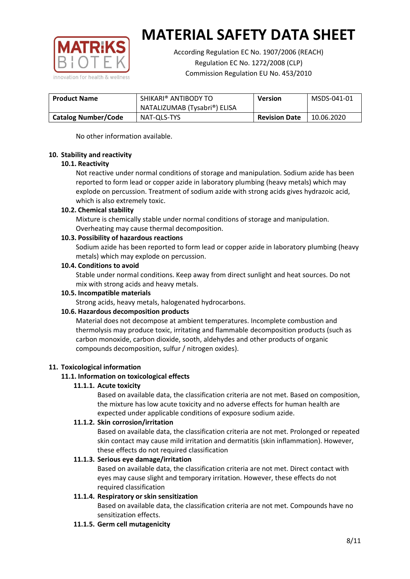

According Regulation EC No. 1907/2006 (REACH) Regulation EC No. 1272/2008 (CLP) Commission Regulation EU No. 453/2010

| SHIKARI® ANTIBODY TO<br><b>Product Name</b> |                              | <b>Version</b>       | MSDS-041-01 |
|---------------------------------------------|------------------------------|----------------------|-------------|
|                                             | NATALIZUMAB (Tysabri®) ELISA |                      |             |
| <b>Catalog Number/Code</b>                  | NAT-QLS-TYS                  | <b>Revision Date</b> | 10.06.2020  |

No other information available.

#### **10. Stability and reactivity**

#### **10.1. Reactivity**

Not reactive under normal conditions of storage and manipulation. Sodium azide has been reported to form lead or copper azide in laboratory plumbing (heavy metals) which may explode on percussion. Treatment of sodium azide with strong acids gives hydrazoic acid, which is also extremely toxic.

#### **10.2. Chemical stability**

Mixture is chemically stable under normal conditions of storage and manipulation. Overheating may cause thermal decomposition.

#### **10.3. Possibility of hazardous reactions**

Sodium azide has been reported to form lead or copper azide in laboratory plumbing (heavy metals) which may explode on percussion.

# **10.4. Conditions to avoid**

Stable under normal conditions. Keep away from direct sunlight and heat sources. Do not mix with strong acids and heavy metals.

#### **10.5. Incompatible materials**

Strong acids, heavy metals, halogenated hydrocarbons.

# **10.6. Hazardous decomposition products**

Material does not decompose at ambient temperatures. Incomplete combustion and thermolysis may produce toxic, irritating and flammable decomposition products (such as carbon monoxide, carbon dioxide, sooth, aldehydes and other products of organic compounds decomposition, sulfur / nitrogen oxides).

# **11. Toxicological information**

# **11.1. Information on toxicological effects**

#### **11.1.1. Acute toxicity**

Based on available data, the classification criteria are not met. Based on composition, the mixture has low acute toxicity and no adverse effects for human health are expected under applicable conditions of exposure sodium azide.

#### **11.1.2. Skin corrosion/irritation**

Based on available data, the classification criteria are not met. Prolonged or repeated skin contact may cause mild irritation and dermatitis (skin inflammation). However, these effects do not required classification

# **11.1.3. Serious eye damage/irritation**

Based on available data, the classification criteria are not met. Direct contact with eyes may cause slight and temporary irritation. However, these effects do not required classification

# **11.1.4. Respiratory or skin sensitization**

Based on available data, the classification criteria are not met. Compounds have no sensitization effects.

#### **11.1.5. Germ cell mutagenicity**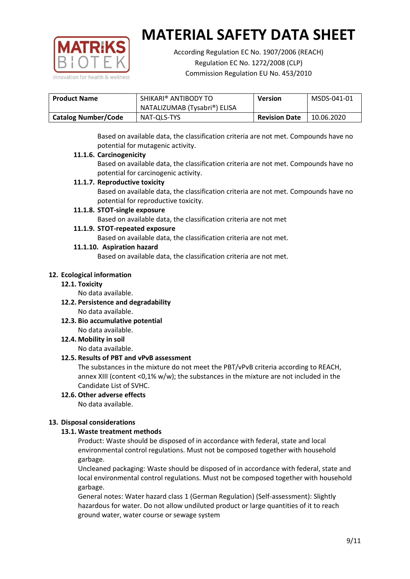

According Regulation EC No. 1907/2006 (REACH) Regulation EC No. 1272/2008 (CLP) Commission Regulation EU No. 453/2010

| SHIKARI® ANTIBODY TO<br><b>Product Name</b> |                              | <b>Version</b>       | MSDS-041-01 |
|---------------------------------------------|------------------------------|----------------------|-------------|
|                                             | NATALIZUMAB (Tysabri®) ELISA |                      |             |
| <b>Catalog Number/Code</b>                  | NAT-QLS-TYS                  | <b>Revision Date</b> | 10.06.2020  |

Based on available data, the classification criteria are not met. Compounds have no potential for mutagenic activity.

# **11.1.6. Carcinogenicity**

Based on available data, the classification criteria are not met. Compounds have no potential for carcinogenic activity.

# **11.1.7. Reproductive toxicity**

Based on available data, the classification criteria are not met. Compounds have no potential for reproductive toxicity.

# **11.1.8. STOT-single exposure**

Based on available data, the classification criteria are not met

#### **11.1.9. STOT-repeated exposure**

Based on available data, the classification criteria are not met.

#### **11.1.10. Aspiration hazard**

Based on available data, the classification criteria are not met.

#### **12. Ecological information**

#### **12.1. Toxicity**

No data available.

- **12.2. Persistence and degradability** No data available.
- **12.3. Bio accumulative potential** No data available.

**12.4. Mobility in soil**

No data available.

# **12.5. Results of PBT and vPvB assessment**

The substances in the mixture do not meet the PBT/vPvB criteria according to REACH, annex XIII (content <0,1% w/w); the substances in the mixture are not included in the Candidate List of SVHC.

#### **12.6. Other adverse effects** No data available.

# **13. Disposal considerations**

# **13.1. Waste treatment methods**

Product: Waste should be disposed of in accordance with federal, state and local environmental control regulations. Must not be composed together with household garbage.

Uncleaned packaging: Waste should be disposed of in accordance with federal, state and local environmental control regulations. Must not be composed together with household garbage.

General notes: Water hazard class 1 (German Regulation) (Self-assessment): Slightly hazardous for water. Do not allow undiluted product or large quantities of it to reach ground water, water course or sewage system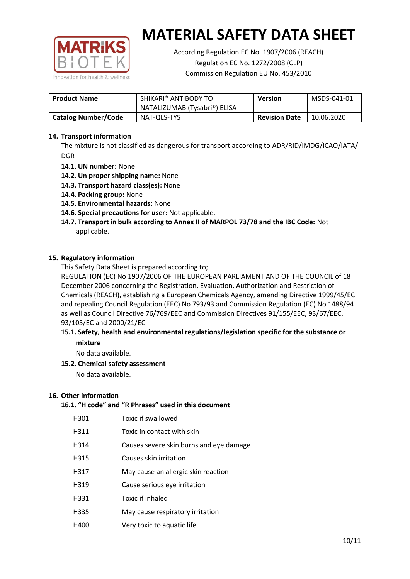

According Regulation EC No. 1907/2006 (REACH) Regulation EC No. 1272/2008 (CLP) Commission Regulation EU No. 453/2010

| <b>Product Name</b>        | SHIKARI® ANTIBODY TO<br><b>Version</b><br>NATALIZUMAB (Tysabri®) ELISA |                      | MSDS-041-01 |
|----------------------------|------------------------------------------------------------------------|----------------------|-------------|
| <b>Catalog Number/Code</b> | NAT-QLS-TYS                                                            | <b>Revision Date</b> | 10.06.2020  |

# **14. Transport information**

The mixture is not classified as dangerous for transport according to ADR/RID/IMDG/ICAO/IATA/ DGR

- **14.1. UN number:** None
- **14.2. Un proper shipping name:** None
- **14.3. Transport hazard class(es):** None
- **14.4. Packing group:** None
- **14.5. Environmental hazards:** None
- **14.6. Special precautions for user:** Not applicable.
- **14.7. Transport in bulk according to Annex II of MARPOL 73/78 and the IBC Code:** Not applicable.

#### **15. Regulatory information**

This Safety Data Sheet is prepared according to;

REGULATION (EC) No 1907/2006 OF THE EUROPEAN PARLIAMENT AND OF THE COUNCIL of 18 December 2006 concerning the Registration, Evaluation, Authorization and Restriction of Chemicals (REACH), establishing a European Chemicals Agency, amending Directive 1999/45/EC and repealing Council Regulation (EEC) No 793/93 and Commission Regulation (EC) No 1488/94 as well as Council Directive 76/769/EEC and Commission Directives 91/155/EEC, 93/67/EEC, 93/105/EC and 2000/21/EC

#### **15.1. Safety, health and environmental regulations/legislation specific for the substance or mixture**

No data available.

# **15.2. Chemical safety assessment**

No data available.

#### **16. Other information**

# **16.1. "H code" and "R Phrases" used in this document**

| H301 | Toxic if swallowed |
|------|--------------------|
|      |                    |

- H311 Toxic in contact with skin
- H314 Causes severe skin burns and eye damage
- H315 Causes skin irritation
- H317 May cause an allergic skin reaction
- H319 Cause serious eye irritation
- H331 Toxic if inhaled
- H335 May cause respiratory irritation
- H400 Very toxic to aquatic life